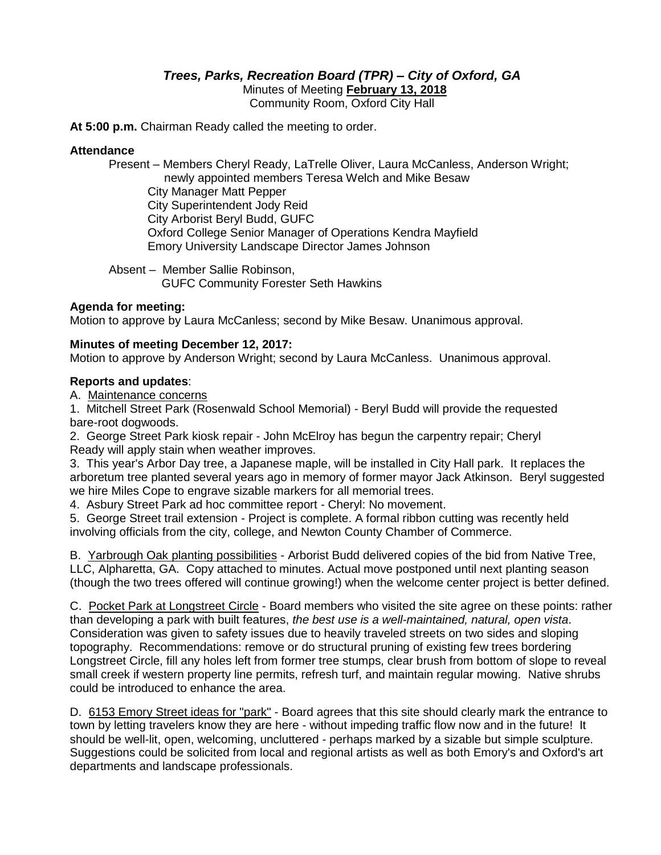# *Trees, Parks, Recreation Board (TPR) – City of Oxford, GA*

Minutes of Meeting **February 13, 2018**

Community Room, Oxford City Hall

**At 5:00 p.m.** Chairman Ready called the meeting to order.

#### **Attendance**

Present – Members Cheryl Ready, LaTrelle Oliver, Laura McCanless, Anderson Wright; newly appointed members Teresa Welch and Mike Besaw City Manager Matt Pepper City Superintendent Jody Reid City Arborist Beryl Budd, GUFC Oxford College Senior Manager of Operations Kendra Mayfield Emory University Landscape Director James Johnson

Absent – Member Sallie Robinson, GUFC Community Forester Seth Hawkins

## **Agenda for meeting:**

Motion to approve by Laura McCanless; second by Mike Besaw. Unanimous approval.

#### **Minutes of meeting December 12, 2017:**

Motion to approve by Anderson Wright; second by Laura McCanless. Unanimous approval.

#### **Reports and updates**:

A. Maintenance concerns

1. Mitchell Street Park (Rosenwald School Memorial) - Beryl Budd will provide the requested bare-root dogwoods.

2. George Street Park kiosk repair - John McElroy has begun the carpentry repair; Cheryl Ready will apply stain when weather improves.

3. This year's Arbor Day tree, a Japanese maple, will be installed in City Hall park. It replaces the arboretum tree planted several years ago in memory of former mayor Jack Atkinson. Beryl suggested we hire Miles Cope to engrave sizable markers for all memorial trees.

4. Asbury Street Park ad hoc committee report - Cheryl: No movement.

5. George Street trail extension - Project is complete. A formal ribbon cutting was recently held involving officials from the city, college, and Newton County Chamber of Commerce.

B. Yarbrough Oak planting possibilities - Arborist Budd delivered copies of the bid from Native Tree, LLC, Alpharetta, GA. Copy attached to minutes. Actual move postponed until next planting season (though the two trees offered will continue growing!) when the welcome center project is better defined.

C. Pocket Park at Longstreet Circle - Board members who visited the site agree on these points: rather than developing a park with built features, *the best use is a well-maintained, natural, open vista*. Consideration was given to safety issues due to heavily traveled streets on two sides and sloping topography. Recommendations: remove or do structural pruning of existing few trees bordering Longstreet Circle, fill any holes left from former tree stumps, clear brush from bottom of slope to reveal small creek if western property line permits, refresh turf, and maintain regular mowing. Native shrubs could be introduced to enhance the area.

D. 6153 Emory Street ideas for "park" - Board agrees that this site should clearly mark the entrance to town by letting travelers know they are here - without impeding traffic flow now and in the future! It should be well-lit, open, welcoming, uncluttered - perhaps marked by a sizable but simple sculpture. Suggestions could be solicited from local and regional artists as well as both Emory's and Oxford's art departments and landscape professionals.